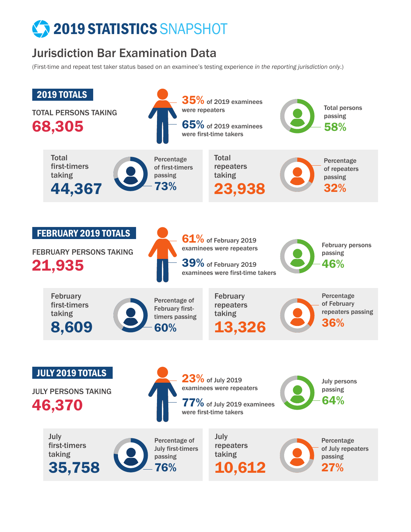# <sup>2</sup> 2019 STATISTICS SNAPSHOT

## Jurisdiction Bar Examination Data

(First-time and repeat test taker status based on an examinee's testing experience *in the reporting jurisdiction only*.)